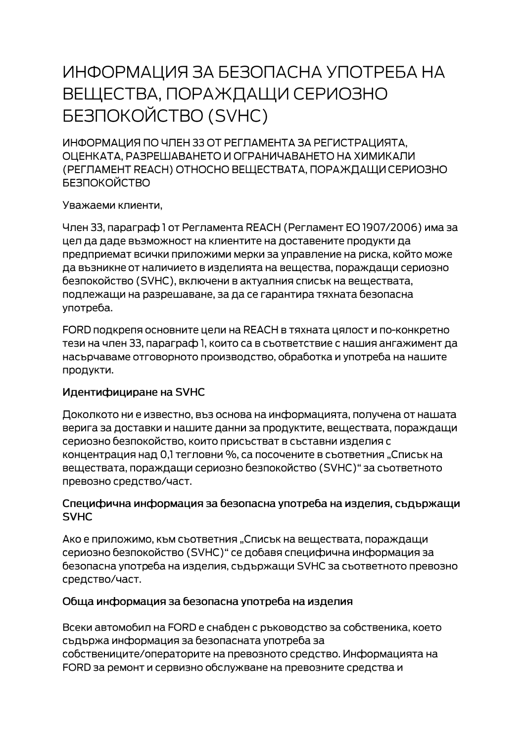# ИНФОРМАЦИЯ ЗА БЕЗОПАСНА УПОТРЕБА НА ВЕЩЕСТВА, ПОРАЖДАЩИ СЕРИОЗНО **БЕЗПОКОЙСТВО (SVHC)**

ИНФОРМАЦИЯ ПО ЧЛЕН 33 ОТ РЕГЛАМЕНТА ЗА РЕГИСТРАЦИЯТА. ОЦЕНКАТА, РАЗРЕШАВАНЕТО И ОГРАНИЧАВАНЕТО НА ХИМИКАЛИ (РЕГЛАМЕНТ REACH) ОТНОСНО ВЕЩЕСТВАТА, ПОРАЖДАЩИ СЕРИОЗНО **БЕЗПОКОЙСТВО** 

Уважаеми клиенти,

Член 33, параграф 1 от Регламента REACH (Регламент ЕО 1907/2006) има за цел да даде възможност на клиентите на доставените продукти да предприемат всички приложими мерки за управление на риска, който може да възникне от наличието в изделията на вещества, пораждащи сериозно безпокойство (SVHC), включени в актуалния списък на веществата, подлежащи на разрешаване, за да се гарантира тяхната безопасна употреба.

FORD подкрепя основните цели на REACH в тяхната цялост и по-конкретно тези на член 33, параграф 1, които са в съответствие с нашия ангажимент да насърчаваме отговорното производство, обработка и употреба на нашите продукти.

#### Идентифициране на SVHC

Доколкото ни е известно, въз основа на информацията, получена от нашата верига за доставки и нашите данни за продуктите, веществата, пораждащи сериозно безпокойство, които присъстват в съставни изделия с концентрация над 0,1 тегловни %, са посочените в съответния "Списък на веществата, пораждащи сериозно безпокойство (SVHC)" за съответното превозно средство/част.

#### Специфична информация за безопасна употреба на изделия, съдържащи **SVHC**

Ако е приложимо, към съответния "Списък на веществата, пораждащи сериозно безпокойство (SVHC)" се добавя специфична информация за безопасна употреба на изделия, съдържащи SVHC за съответното превозно средство/част.

#### Обща информация за безопасна употреба на изделия

Всеки автомобил на FORD е снабден с ръководство за собственика, което съдържа информация за безопасната употреба за собствениците/операторите на превозното средство. Информацията на FORD за ремонт и сервизно обслужване на превозните средства и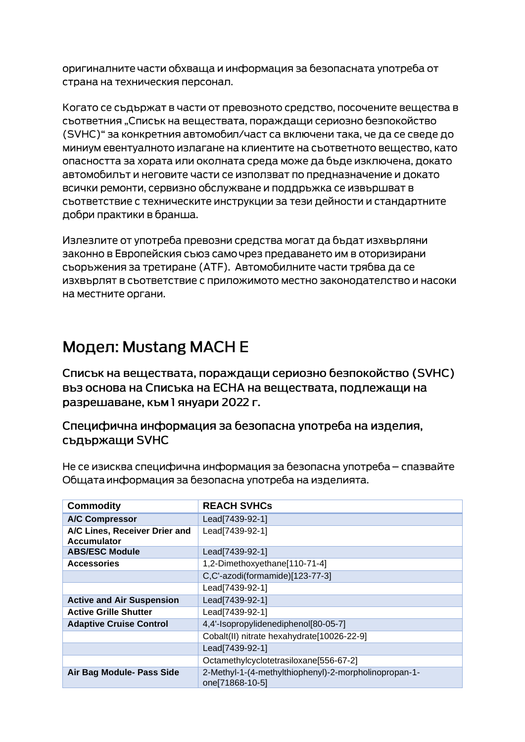оригиналните части обхваща и информация за безопасната употреба от страна на техническия персонал.

Когато се съдържат в части от превозното средство, посочените вещества в сьответния "Списък на вешествата, пораждащи сериозно безпокойство (SVHC)" за конкретния автомобил/част са включени така, че да се сведе до миниум евентуалното излагане на клиентите на съответното вещество, като опасността за хората или околната среда може да бъде изключена, докато автомобилът и неговите части се използват по предназначение и докато всички ремонти, сервизно обслужване и поддръжка се извършват в съответствие с техническите инструкции за тези дейности и стандартните добри практики в бранша.

Излезлите от употреба превозни средства могат да бъдат изхвърляни законно в Европейския съюз само чрез предаването им в оторизирани сьоръжения за третиране (АТЕ). Автомобилните части трябва да се изхвърлят в съответствие с приложимото местно законодателство и насоки на местните органи.

## Модел: Mustang MACH E

Списък на веществата, пораждащи сериозно безпокойство (SVHC) въз основа на Списъка на ЕСНА на веществата, подлежащи на разрешаване, към 1 януари 2022 г.

### Специфична информация за безопасна употреба на изделия, съдържащи SVHC

Не се изисква специфична информация за безопасна употреба – спазвайте Общата информация за безопасна употреба на изделията.

| <b>Commodity</b>                                    | <b>REACH SVHCs</b>                                                       |
|-----------------------------------------------------|--------------------------------------------------------------------------|
| <b>A/C Compressor</b>                               | Lead[7439-92-1]                                                          |
| A/C Lines, Receiver Drier and<br><b>Accumulator</b> | Lead[7439-92-1]                                                          |
| <b>ABS/ESC Module</b>                               | Lead[7439-92-1]                                                          |
| <b>Accessories</b>                                  | 1,2-Dimethoxyethane[110-71-4]                                            |
|                                                     | C,C'-azodi(formamide)[123-77-3]                                          |
|                                                     | Lead[7439-92-1]                                                          |
| <b>Active and Air Suspension</b>                    | Lead[7439-92-1]                                                          |
| <b>Active Grille Shutter</b>                        | Lead[7439-92-1]                                                          |
| <b>Adaptive Cruise Control</b>                      | 4,4'-Isopropylidenediphenol[80-05-7]                                     |
|                                                     | Cobalt(II) nitrate hexahydrate[10026-22-9]                               |
|                                                     | Lead[7439-92-1]                                                          |
|                                                     | Octamethylcyclotetrasiloxane[556-67-2]                                   |
| Air Bag Module- Pass Side                           | 2-Methyl-1-(4-methylthiophenyl)-2-morpholinopropan-1-<br>one[71868-10-5] |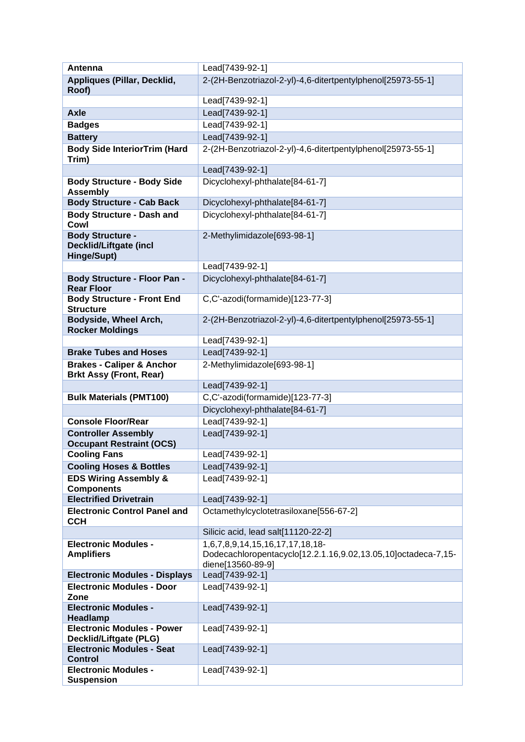| Antenna                                                                 | Lead[7439-92-1]                                                                    |
|-------------------------------------------------------------------------|------------------------------------------------------------------------------------|
| Appliques (Pillar, Decklid,                                             | 2-(2H-Benzotriazol-2-yl)-4,6-ditertpentylphenol[25973-55-1]                        |
| Roof)                                                                   |                                                                                    |
|                                                                         | Lead[7439-92-1]                                                                    |
| <b>Axle</b>                                                             | Lead[7439-92-1]                                                                    |
| <b>Badges</b>                                                           | Lead[7439-92-1]                                                                    |
| <b>Battery</b>                                                          | Lead[7439-92-1]                                                                    |
| <b>Body Side InteriorTrim (Hard</b><br>Trim)                            | 2-(2H-Benzotriazol-2-yl)-4,6-ditertpentylphenol[25973-55-1]                        |
|                                                                         | Lead[7439-92-1]                                                                    |
| <b>Body Structure - Body Side</b><br><b>Assembly</b>                    | Dicyclohexyl-phthalate[84-61-7]                                                    |
| <b>Body Structure - Cab Back</b>                                        | Dicyclohexyl-phthalate[84-61-7]                                                    |
| <b>Body Structure - Dash and</b><br>Cowl                                | Dicyclohexyl-phthalate[84-61-7]                                                    |
| <b>Body Structure -</b><br><b>Decklid/Liftgate (incl</b><br>Hinge/Supt) | 2-Methylimidazole[693-98-1]                                                        |
|                                                                         | Lead[7439-92-1]                                                                    |
| <b>Body Structure - Floor Pan -</b><br><b>Rear Floor</b>                | Dicyclohexyl-phthalate[84-61-7]                                                    |
| <b>Body Structure - Front End</b><br><b>Structure</b>                   | C,C'-azodi(formamide)[123-77-3]                                                    |
| Bodyside, Wheel Arch,                                                   | 2-(2H-Benzotriazol-2-yl)-4,6-ditertpentylphenol[25973-55-1]                        |
| <b>Rocker Moldings</b>                                                  |                                                                                    |
|                                                                         | Lead[7439-92-1]                                                                    |
| <b>Brake Tubes and Hoses</b>                                            | Lead[7439-92-1]                                                                    |
| <b>Brakes - Caliper &amp; Anchor</b><br><b>Brkt Assy (Front, Rear)</b>  | 2-Methylimidazole[693-98-1]                                                        |
|                                                                         | Lead[7439-92-1]                                                                    |
| <b>Bulk Materials (PMT100)</b>                                          | C,C'-azodi(formamide)[123-77-3]                                                    |
|                                                                         | Dicyclohexyl-phthalate[84-61-7]                                                    |
| <b>Console Floor/Rear</b>                                               | Lead[7439-92-1]                                                                    |
| <b>Controller Assembly</b><br><b>Occupant Restraint (OCS)</b>           | Lead[7439-92-1]                                                                    |
| <b>Cooling Fans</b>                                                     | Lead[7439-92-1]                                                                    |
| <b>Cooling Hoses &amp; Bottles</b>                                      | Lead[7439-92-1]                                                                    |
| <b>EDS Wiring Assembly &amp;</b><br><b>Components</b>                   | Lead[7439-92-1]                                                                    |
| <b>Electrified Drivetrain</b>                                           | Lead[7439-92-1]                                                                    |
| <b>Electronic Control Panel and</b><br><b>CCH</b>                       | Octamethylcyclotetrasiloxane[556-67-2]                                             |
|                                                                         | Silicic acid, lead salt[11120-22-2]                                                |
| <b>Electronic Modules -</b>                                             | 1,6,7,8,9,14,15,16,17,17,18,18-                                                    |
| <b>Amplifiers</b>                                                       | Dodecachloropentacyclo[12.2.1.16,9.02,13.05,10]octadeca-7,15-<br>diene[13560-89-9] |
| <b>Electronic Modules - Displays</b>                                    | Lead[7439-92-1]                                                                    |
| <b>Electronic Modules - Door</b><br>Zone                                | Lead[7439-92-1]                                                                    |
| <b>Electronic Modules -</b><br><b>Headlamp</b>                          | Lead[7439-92-1]                                                                    |
| <b>Electronic Modules - Power</b><br>Decklid/Liftgate (PLG)             | Lead[7439-92-1]                                                                    |
| <b>Electronic Modules - Seat</b><br><b>Control</b>                      | Lead[7439-92-1]                                                                    |
| <b>Electronic Modules -</b>                                             | Lead[7439-92-1]                                                                    |
| <b>Suspension</b>                                                       |                                                                                    |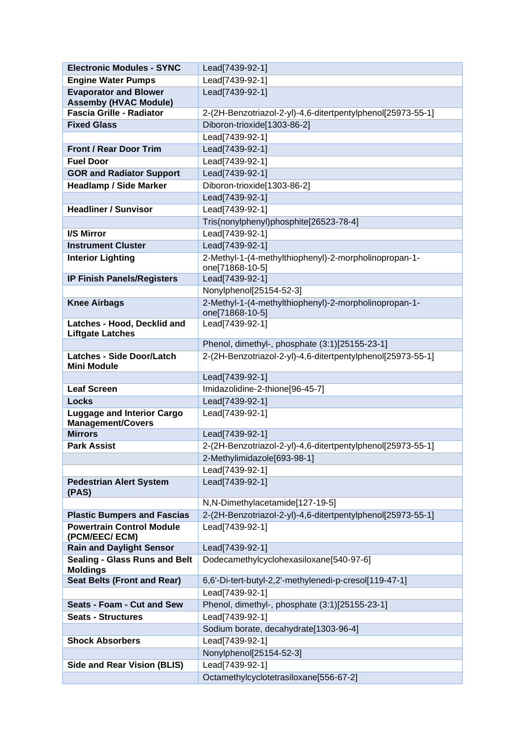| <b>Electronic Modules - SYNC</b>                              | Lead[7439-92-1]                                                          |
|---------------------------------------------------------------|--------------------------------------------------------------------------|
| <b>Engine Water Pumps</b>                                     | Lead[7439-92-1]                                                          |
| <b>Evaporator and Blower</b><br><b>Assemby (HVAC Module)</b>  | Lead[7439-92-1]                                                          |
| <b>Fascia Grille - Radiator</b>                               | 2-(2H-Benzotriazol-2-yl)-4,6-ditertpentylphenol[25973-55-1]              |
| <b>Fixed Glass</b>                                            | Diboron-trioxide[1303-86-2]                                              |
|                                                               | Lead[7439-92-1]                                                          |
| <b>Front / Rear Door Trim</b>                                 | Lead[7439-92-1]                                                          |
| <b>Fuel Door</b>                                              | Lead[7439-92-1]                                                          |
| <b>GOR and Radiator Support</b>                               | Lead[7439-92-1]                                                          |
| <b>Headlamp / Side Marker</b>                                 | Diboron-trioxide[1303-86-2]                                              |
|                                                               | Lead[7439-92-1]                                                          |
| <b>Headliner / Sunvisor</b>                                   | Lead[7439-92-1]                                                          |
|                                                               | Tris(nonylphenyl)phosphite[26523-78-4]                                   |
| <b>I/S Mirror</b>                                             | Lead[7439-92-1]                                                          |
| <b>Instrument Cluster</b>                                     | Lead[7439-92-1]                                                          |
| <b>Interior Lighting</b>                                      | 2-Methyl-1-(4-methylthiophenyl)-2-morpholinopropan-1-                    |
|                                                               | one[71868-10-5]                                                          |
| <b>IP Finish Panels/Registers</b>                             | Lead[7439-92-1]                                                          |
|                                                               | Nonylphenol[25154-52-3]                                                  |
| <b>Knee Airbags</b>                                           | 2-Methyl-1-(4-methylthiophenyl)-2-morpholinopropan-1-<br>one[71868-10-5] |
| Latches - Hood, Decklid and<br><b>Liftgate Latches</b>        | Lead[7439-92-1]                                                          |
|                                                               | Phenol, dimethyl-, phosphate (3:1)[25155-23-1]                           |
| <b>Latches - Side Door/Latch</b><br><b>Mini Module</b>        | 2-(2H-Benzotriazol-2-yl)-4,6-ditertpentylphenol[25973-55-1]              |
|                                                               | Lead[7439-92-1]                                                          |
| <b>Leaf Screen</b>                                            | Imidazolidine-2-thione[96-45-7]                                          |
| <b>Locks</b>                                                  | Lead[7439-92-1]                                                          |
| <b>Luggage and Interior Cargo</b><br><b>Management/Covers</b> | Lead[7439-92-1]                                                          |
| <b>Mirrors</b>                                                | Lead[7439-92-1]                                                          |
| <b>Park Assist</b>                                            | 2-(2H-Benzotriazol-2-yl)-4,6-ditertpentylphenol[25973-55-1]              |
|                                                               | 2-Methylimidazole[693-98-1]                                              |
|                                                               | Lead[7439-92-1]                                                          |
| <b>Pedestrian Alert System</b><br>(PAS)                       | Lead[7439-92-1]                                                          |
|                                                               | N,N-Dimethylacetamide[127-19-5]                                          |
| <b>Plastic Bumpers and Fascias</b>                            | 2-(2H-Benzotriazol-2-yl)-4,6-ditertpentylphenol[25973-55-1]              |
| <b>Powertrain Control Module</b><br>(PCM/EEC/ECM)             | Lead[7439-92-1]                                                          |
| <b>Rain and Daylight Sensor</b>                               | Lead[7439-92-1]                                                          |
| <b>Sealing - Glass Runs and Belt</b><br><b>Moldings</b>       | Dodecamethylcyclohexasiloxane[540-97-6]                                  |
| <b>Seat Belts (Front and Rear)</b>                            | 6,6'-Di-tert-butyl-2,2'-methylenedi-p-cresol[119-47-1]                   |
|                                                               | Lead[7439-92-1]                                                          |
| Seats - Foam - Cut and Sew                                    | Phenol, dimethyl-, phosphate (3:1)[25155-23-1]                           |
| <b>Seats - Structures</b>                                     | Lead[7439-92-1]                                                          |
|                                                               | Sodium borate, decahydrate[1303-96-4]                                    |
| <b>Shock Absorbers</b>                                        | Lead[7439-92-1]                                                          |
|                                                               | Nonylphenol[25154-52-3]                                                  |
| <b>Side and Rear Vision (BLIS)</b>                            | Lead[7439-92-1]                                                          |
|                                                               | Octamethylcyclotetrasiloxane[556-67-2]                                   |
|                                                               |                                                                          |